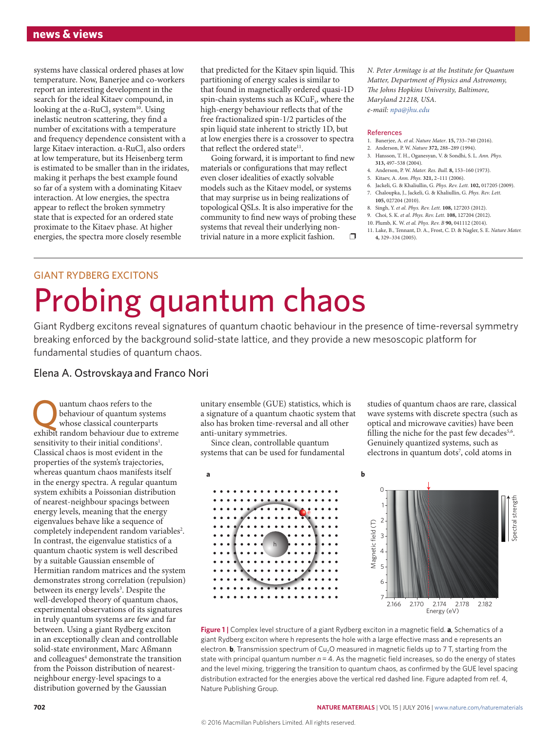systems have classical ordered phases at low temperature. Now, Banerjee and co-workers report an interesting development in the search for the ideal Kitaev compound, in looking at the  $\alpha$ -RuCl<sub>3</sub> system<sup>10</sup>. Using inelastic neutron scattering, they find a number of excitations with a temperature and frequency dependence consistent with a large Kitaev interaction. α-RuCl<sub>2</sub> also orders at low temperature, but its Heisenberg term is estimated to be smaller than in the iridates, making it perhaps the best example found so far of a system with a dominating Kitaev interaction. At low energies, the spectra appear to reflect the broken symmetry state that is expected for an ordered state proximate to the Kitaev phase. At higher energies, the spectra more closely resemble

that predicted for the Kitaev spin liquid. This partitioning of energy scales is similar to that found in magnetically ordered quasi-1D spin-chain systems such as KCuF<sub>3</sub>, where the high-energy behaviour reflects that of the free fractionalized spin-1/2 particles of the spin liquid state inherent to strictly 1D, but at low energies there is a crossover to spectra that reflect the ordered state<sup>11</sup>.

Going forward, it is important to find new materials or configurations that may reflect even closer idealities of exactly solvable models such as the Kitaev model, or systems that may surprise us in being realizations of topological QSLs. It is also imperative for the community to find new ways of probing these systems that reveal their underlying nontrivial nature in a more explicit fashion.  $\square$  *N. Peter Armitage is at the Institute for Quantum Matter, Department of Physics and Astronomy, The Johns Hopkins University, Baltimore, Maryland 21218, USA. e-mail: [npa@jhu.edu](mailto:npa@jhu.edu)*

## References

- 1. Banerjee, A. *et al. Nature Mater*. **15,** 733–740 (2016).
- 2. Anderson, P. W. *Nature* **372,** 288–289 (1994).
- 3. Hansson, T. H., Oganesyan, V. & Sondhi, S. L. *Ann. Phys.* **313,** 497–538 (2004).
- 4. Anderson, P. W. *Mater. Res. Bull.* **8,** 153–160 (1973).
- 5. Kitaev, A. *Ann. Phys.* **321,** 2–111 (2006).
- 6. Jackeli, G. & Khaliullin, G. *Phys. Rev. Lett.* **102,** 017205 (2009). 7. Chaloupka, J., Jackeli, G. & Khaliullin, G. *Phys. Rev. Lett.*  **105,** 027204 (2010).
- 8. Singh, Y. *et al. Phys. Rev. Lett.* **108,** 127203 (2012).
- 9. Choi, S. K. *et al. Phys. Rev. Lett.* **108,** 127204 (2012).
- 10. Plumb, K. W. *et al. Phys. Rev. B* **90,** 041112 (2014).
- 11. Lake, B., Tennant, D. A., Frost, C. D. & Nagler, S. E. *Nature Mater.* **4,** 329–334 (2005).

## GIANT RYDBERG EXCITONS Probing quantum chaos

Giant Rydberg excitons reveal signatures of quantum chaotic behaviour in the presence of time-reversal symmetry breaking enforced by the background solid-state lattice, and they provide a new mesoscopic platform for fundamental studies of quantum chaos.

## Elena A. Ostrovskaya and Franco Nori

**Quantum chaos refers to the**<br>
whose classical counterparts<br>
exhibit random behaviour due to exh behaviour of quantum systems exhibit random behaviour due to extreme sensitivity to their initial conditions<sup>1</sup>. Classical chaos is most evident in the properties of the system's trajectories, whereas quantum chaos manifests itself in the energy spectra. A regular quantum system exhibits a Poissonian distribution of nearest-neighbour spacings between energy levels, meaning that the energy eigenvalues behave like a sequence of completely independent random variables<sup>2</sup>. In contrast, the eigenvalue statistics of a quantum chaotic system is well described by a suitable Gaussian ensemble of Hermitian random matrices and the system demonstrates strong correlation (repulsion) between its energy levels<sup>3</sup>. Despite the well-developed theory of quantum chaos, experimental observations of its signatures in truly quantum systems are few and far between. Using a giant Rydberg exciton in an exceptionally clean and controllable solid-state environment, Marc Aßmann and colleagues<sup>4</sup> demonstrate the transition from the Poisson distribution of nearestneighbour energy-level spacings to a distribution governed by the Gaussian

unitary ensemble (GUE) statistics, which is a signature of a quantum chaotic system that also has broken time-reversal and all other anti-unitary symmetries.

Since clean, controllable quantum systems that can be used for fundamental

studies of quantum chaos are rare, classical wave systems with discrete spectra (such as optical and microwave cavities) have been filling the niche for the past few decades<sup>5,6</sup>. Genuinely quantized systems, such as electrons in quantum dots<sup>7</sup>, cold atoms in



**Figure 1 |** Complex level structure of a giant Rydberg exciton in a magnetic field. **a**, Schematics of a giant Rydberg exciton where h represents the hole with a large effective mass and e represents an electron. **b**, Transmission spectrum of Cu<sub>2</sub>O measured in magnetic fields up to 7 T, starting from the state with principal quantum number *n* = 4. As the magnetic field increases, so do the energy of states and the level mixing, triggering the transition to quantum chaos, as confirmed by the GUE level spacing distribution extracted for the energies above the vertical red dashed line. Figure adapted from ref. 4, Nature Publishing Group.